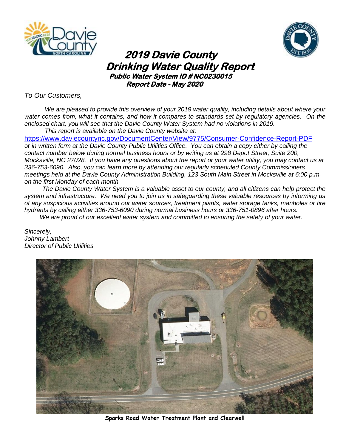



# **2019 Davie County** **Drinking Water Quality Report**<br>Public Water System ID # NC0230015  **Report Date - May 2020**

*To Our Customers,*

*We are pleased to provide this overview of your 2019 water quality, including details about where your water comes from, what it contains, and how it compares to standards set by regulatory agencies. On the enclosed chart, you will see that the Davie County Water System had no violations in 2019. This report is available on the Davie County website at:*

<https://www.daviecountync.gov/DocumentCenter/View/9775/Consumer-Confidence-Report-PDF> or *in written form at the Davie County Public Utilities Office. You can obtain a copy either by calling the contact number below during normal business hours or by writing us at 298 Depot Street, Suite 200, Mocksville, NC 27028. If you have any questions about the report or your water utility, you may contact us at 336-753-6090. Also, you can learn more by attending our regularly scheduled County Commissioners meetings held at the Davie County Administration Building, 123 South Main Street in Mocksville at 6:00 p.m. on the first Monday of each month.*

*The Davie County Water System is a valuable asset to our county, and all citizens can help protect the system and infrastructure. We need you to join us in safeguarding these valuable resources by informing us of any suspicious activities around our water sources, treatment plants, water storage tanks, manholes or fire hydrants by calling either 336-753-6090 during normal business hours or 336-751-0896 after hours.*

*We are proud of our excellent water system and committed to ensuring the safety of your water.*

*Sincerely, Johnny Lambert Director of Public Utilities*



**Sparks Road Water Treatment Plant and Clearwell**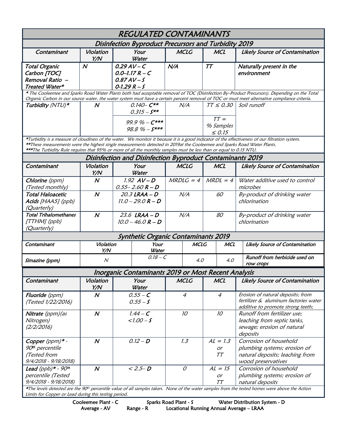| <b>REGULATED CONTAMINANTS</b>                                                                                                                                                                                                                                                                                                                                                                     |                          |                                                     |            |                  |                                                           |                                    |     |                                                                                                                 |  |  |  |  |
|---------------------------------------------------------------------------------------------------------------------------------------------------------------------------------------------------------------------------------------------------------------------------------------------------------------------------------------------------------------------------------------------------|--------------------------|-----------------------------------------------------|------------|------------------|-----------------------------------------------------------|------------------------------------|-----|-----------------------------------------------------------------------------------------------------------------|--|--|--|--|
| Disinfection Byproduct Precursors and Turbidity 2019                                                                                                                                                                                                                                                                                                                                              |                          |                                                     |            |                  |                                                           |                                    |     |                                                                                                                 |  |  |  |  |
| Contaminant                                                                                                                                                                                                                                                                                                                                                                                       | Violation<br>Y/N         | Your<br>Water                                       |            | <b>MCLG</b>      |                                                           | <b>MCL</b>                         |     | <b>Likely Source of Contamination</b>                                                                           |  |  |  |  |
| <b>Total Organic</b><br>Carbon [TOC]<br>Removal Ratio -                                                                                                                                                                                                                                                                                                                                           | $\boldsymbol{N}$         | $0.29AV-C$<br>$0.0 - 1.17 R - C$<br>$0.87AV-S$      |            | N/A              |                                                           | TT                                 |     | Naturally present in the<br>environment                                                                         |  |  |  |  |
| Treated Water*                                                                                                                                                                                                                                                                                                                                                                                    |                          | $0 - 1.29 R - S$                                    |            |                  |                                                           |                                    |     |                                                                                                                 |  |  |  |  |
| * The Cooleemee and Sparks Road Water Plants both had acceptable removal of TOC (Disinfection By-Product Precursors). Depending on the Total<br>Organic Carbon in our source water, the water system must have a certain percent removal of TOC or must meet alternative compliance criteria.                                                                                                     |                          |                                                     |            |                  |                                                           |                                    |     |                                                                                                                 |  |  |  |  |
| Turbidity (NTU)*                                                                                                                                                                                                                                                                                                                                                                                  | N                        | $0.140 - C***$<br>$0.315 - S^{**}$                  |            | N/A              |                                                           | $TT \leq 0.30$                     |     | Soil runoff                                                                                                     |  |  |  |  |
|                                                                                                                                                                                                                                                                                                                                                                                                   |                          | 99.9 % - $C***$<br>$98.8 \% - S***$                 |            |                  |                                                           | $TT =$<br>% Samples<br>$\leq 0.15$ |     |                                                                                                                 |  |  |  |  |
| *Turbidity is a measure of cloudiness of the water. We monitor it because it is a good indicator of the effectiveness of our filtration system.<br>**These measurements were the highest single measurements detected in 2019at the Cooleemee and Sparks Road Water Plants.<br>***The Turbidity Rule requires that 95% or more of all the monthly samples must be less than or equal to 0.15 NTU. |                          |                                                     |            |                  |                                                           |                                    |     |                                                                                                                 |  |  |  |  |
|                                                                                                                                                                                                                                                                                                                                                                                                   |                          |                                                     |            |                  | Disinfection and Disinfection Byproduct Contaminants 2019 |                                    |     |                                                                                                                 |  |  |  |  |
| Contaminant                                                                                                                                                                                                                                                                                                                                                                                       | Violation<br>Y/N         | Your<br>Water                                       |            | <b>MCLG</b>      |                                                           | <b>MCL</b>                         |     | <b>Likely Source of Contamination</b>                                                                           |  |  |  |  |
| Chlorine (ppm)<br>(Tested monthly)                                                                                                                                                                                                                                                                                                                                                                | $\boldsymbol{N}$         | $1.92$ $AV-D$<br>$0.55 - 2.60 R - D$                |            | $MRDLG = 4$      |                                                           | $MRDL = 4$                         |     | Water additive used to control<br>microbes                                                                      |  |  |  |  |
| <b>Total Haloacetic</b><br>Acids [HAA5] (ppb)<br>(Quarterly)                                                                                                                                                                                                                                                                                                                                      | $\boldsymbol{N}$         | 20.3 LRAA – D<br>$11.0 - 29.0 R - D$                |            | N/A              |                                                           | 60                                 |     | By-product of drinking water<br>chlorination                                                                    |  |  |  |  |
| <b>Total Trihalomethanes</b><br>[TTHM] (ppb)<br>(Quarterly)                                                                                                                                                                                                                                                                                                                                       | $\boldsymbol{N}$         | $23.6$ LRAA - D<br>$10.0 - 46.0 R - D$              |            | N/A              |                                                           | 80                                 |     | By-product of drinking water<br>chlorination                                                                    |  |  |  |  |
| <b>Synthetic Organic Contaminants 2019</b>                                                                                                                                                                                                                                                                                                                                                        |                          |                                                     |            |                  |                                                           |                                    |     |                                                                                                                 |  |  |  |  |
| Contaminant                                                                                                                                                                                                                                                                                                                                                                                       | Violation<br>Y/N         | Your<br>Water                                       |            | <b>MCLG</b>      |                                                           | <b>MCL</b>                         |     | Likely Source of Contamination                                                                                  |  |  |  |  |
| Simazine (ppm)                                                                                                                                                                                                                                                                                                                                                                                    | $\overline{\mathcal{N}}$ | $0.18 - C$                                          |            | 4.0              |                                                           | 4.0                                |     | Runoff from herbicide used on<br>row crops                                                                      |  |  |  |  |
|                                                                                                                                                                                                                                                                                                                                                                                                   |                          | Inorganic Contaminants 2019 or Most Recent Analysis |            |                  |                                                           |                                    |     |                                                                                                                 |  |  |  |  |
| Contaminant                                                                                                                                                                                                                                                                                                                                                                                       | Violation<br>Y/N         | Your<br>Water                                       |            | MCLG             |                                                           |                                    | MCL | Likely Source of Contamination                                                                                  |  |  |  |  |
| Fluoride (ppm)<br>(Tested 1/22/2016)                                                                                                                                                                                                                                                                                                                                                              | $\boldsymbol{N}$         | $0.55 - C$<br>$0.55 - S$                            |            | $\boldsymbol{4}$ |                                                           | $\overline{4}$                     |     | Erosion of natural deposits; from<br>fertilizer & aluminum factories water<br>additive to promote strong teeth; |  |  |  |  |
| Nitrate (ppm) (as<br>Nitrogen)<br>(2/2/2016)                                                                                                                                                                                                                                                                                                                                                      | $\boldsymbol{N}$         | $1.00 - S$                                          | $1.44 - C$ |                  |                                                           | 10                                 |     | Runoff from fertilizer use;<br>leaching from septic tanks,<br>sewage; erosion of natural<br>deposits            |  |  |  |  |
| Copper (ppm)* -<br>90 <sup>th</sup> percentile<br>(Tested from<br>9/4/2018 - 9/18/2018)                                                                                                                                                                                                                                                                                                           | $\boldsymbol{N}$         | $0.12 - D$                                          |            | 1.3              |                                                           | $AL = 1.3$<br>or<br>TT             |     | Corrosion of household<br>plumbing systems; erosion of<br>natural deposits; leaching from<br>wood preservatives |  |  |  |  |
| Lead (ppb)* - $90th$<br>percentile (Tested<br>9/4/2018 - 9/18/2018)                                                                                                                                                                                                                                                                                                                               | $\boldsymbol{N}$         | $< 2.5 - D$                                         |            | $\mathcal O$     |                                                           | $AL = 15$<br>or<br>TT              |     | Corrosion of household<br>plumbing systems; erosion of<br>natural deposits                                      |  |  |  |  |
| *The levels detected are the 90 <sup>th</sup> percentile value of all samples taken. None of the water samples from the tested homes were above the Action<br>Limits for Copper or Lead during this testing period.                                                                                                                                                                               |                          |                                                     |            |                  |                                                           |                                    |     |                                                                                                                 |  |  |  |  |

Cooleemee Plant - C Sparks Road Plant - S Water Distribution System - D

Average - AV Range - R Locational Running Annual Average – LRAA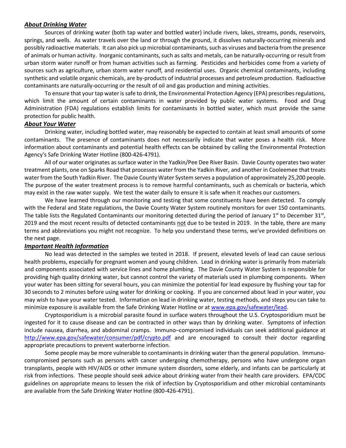### *About Drinking Water*

Sources of drinking water (both tap water and bottled water) include rivers, lakes, streams, ponds, reservoirs, springs, and wells. As water travels over the land or through the ground, it dissolves naturally-occurring minerals and possibly radioactive materials. It can also pick up microbial contaminants, such as viruses and bacteria from the presence of animals or human activity. Inorganic contaminants, such as salts and metals, can be naturally-occurring or result from urban storm water runoff or from human activities such as farming. Pesticides and herbicides come from a variety of sources such as agriculture, urban storm water runoff, and residential uses. Organic chemical contaminants, including synthetic and volatile organic chemicals, are by-products of industrial processes and petroleum production. Radioactive contaminants are naturally-occurring or the result of oil and gas production and mining activities.

To ensure that your tap water is safe to drink, the Environmental Protection Agency (EPA) prescribes regulations, which limit the amount of certain contaminants in water provided by public water systems. Food and Drug Administration (FDA) regulations establish limits for contaminants in bottled water, which must provide the same protection for public health.

#### *About Your Water*

Drinking water, including bottled water, may reasonably be expected to contain at least small amounts of some contaminants. The presence of contaminants does not necessarily indicate that water poses a health risk. More information about contaminants and potential health effects can be obtained by calling the Environmental Protection Agency's Safe Drinking Water Hotline (800-426-4791).

All of our water originates as surface water in the Yadkin/Pee Dee River Basin. Davie County operates two water treatment plants, one on Sparks Road that processes water from the Yadkin River, and another in Cooleemee that treats water from the South Yadkin River. The Davie County Water System serves a population of approximately 25,200 people. The purpose of the water treatment process is to remove harmful contaminants, such as chemicals or bacteria, which may exist in the raw water supply. We test the water daily to ensure it is safe when it reaches our customers.

We have learned through our monitoring and testing that some constituents have been detected. To comply with the Federal and State regulations, the Davie County Water System routinely monitors for over 150 contaminants. The table lists the Regulated Contaminants our monitoring detected during the period of January 1st to December 31st, 2019 and the most recent results of detected contaminants not due to be tested in 2019. In the table, there are many terms and abbreviations you might not recognize. To help you understand these terms, we've provided definitions on the next page.

#### *Important Health Information*

No lead was detected in the samples we tested in 2018. If present, elevated levels of lead can cause serious health problems, especially for pregnant women and young children. Lead in drinking water is primarily from materials and components associated with service lines and home plumbing. The Davie County Water System is responsible for providing high quality drinking water, but cannot control the variety of materials used in plumbing components. When your water has been sitting for several hours, you can minimize the potential for lead exposure by flushing your tap for 30 seconds to 2 minutes before using water for drinking or cooking. If you are concerned about lead in your water, you may wish to have your water tested. Information on lead in drinking water, testing methods, and steps you can take to minimize exposure is available from the Safe Drinking Water Hotline or at www.epa.gov/safewater/lead.

Cryptosporidium is a microbial parasite found in surface waters throughout the U.S. Cryptosporidium must be ingested for it to cause disease and can be contracted in other ways than by drinking water. Symptoms of infection include nausea, diarrhea, and abdominal cramps. Immuno–compromised individuals can seek additional guidance at <http://www.epa.gov/safewater/consumer/pdf/crypto.pdf> and are encouraged to consult their doctor regarding appropriate precautions to prevent waterborne infection.

Some people may be more vulnerable to contaminants in drinking water than the general population. Immunocompromised persons such as persons with cancer undergoing chemotherapy, persons who have undergone organ transplants, people with HIV/AIDS or other immune system disorders, some elderly, and infants can be particularly at risk from infections. These people should seek advice about drinking water from their health care providers. EPA/CDC guidelines on appropriate means to lessen the risk of infection by Cryptosporidium and other microbial contaminants are available from the Safe Drinking Water Hotline (800-426-4791).